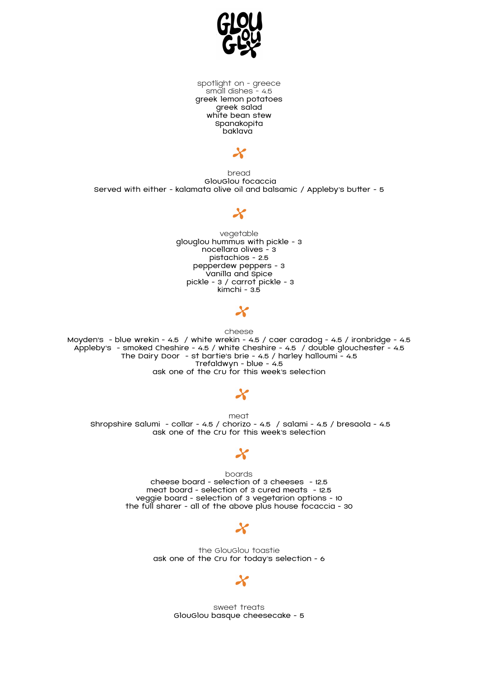

spotlight on - greece small dishes - 4.5 greek lemon potatoes greek salad white bean stew Spanakopita baklava

 $\boldsymbol{\chi}$ 

bread GlouGlou focaccia Served with either - kalamata olive oil and balsamic / Appleby's butter - 5

#### $\boldsymbol{\chi}$

vegetable glouglou hummus with pickle - 3 nocellara olives - 3 pistachios - 2.5 pepperdew peppers - 3 Vanilla and Spice pickle - 3 / carrot pickle - 3 kimchi - 3.5

## $\boldsymbol{\chi}$

cheese

Moyden's - blue wrekin - 4.5 / white wrekin - 4.5 / caer caradog - 4.5 / ironbridge - 4.5 Appleby's - smoked Cheshire - 4.5 / white Cheshire - 4.5 / double glouchester - 4.5 The Dairy Door - st bartie's brie - 4.5 / harley halloumi - 4.5 Trefaldwyn - blue - 4.5 ask one of the Cru for this week's selection

#### $\boldsymbol{\chi}$

meat Shropshire Salumi - collar - 4.5 / chorizo - 4.5 / salami - 4.5 / bresaola - 4.5 ask one of the Cru for this week's selection

# $\boldsymbol{\chi}$

boards cheese board - selection of 3 cheeses - 12.5 meat board - selection of 3 cured meats - 12.5 veggie board - selection of 3 vegetarion options - 10 the full sharer - all of the above plus house focaccia - 30

### $\boldsymbol{\chi}$

the GlouGlou toastie ask one of the Cru for today's selection - 6

## Х

sweet treats GlouGlou basque cheesecake - 5